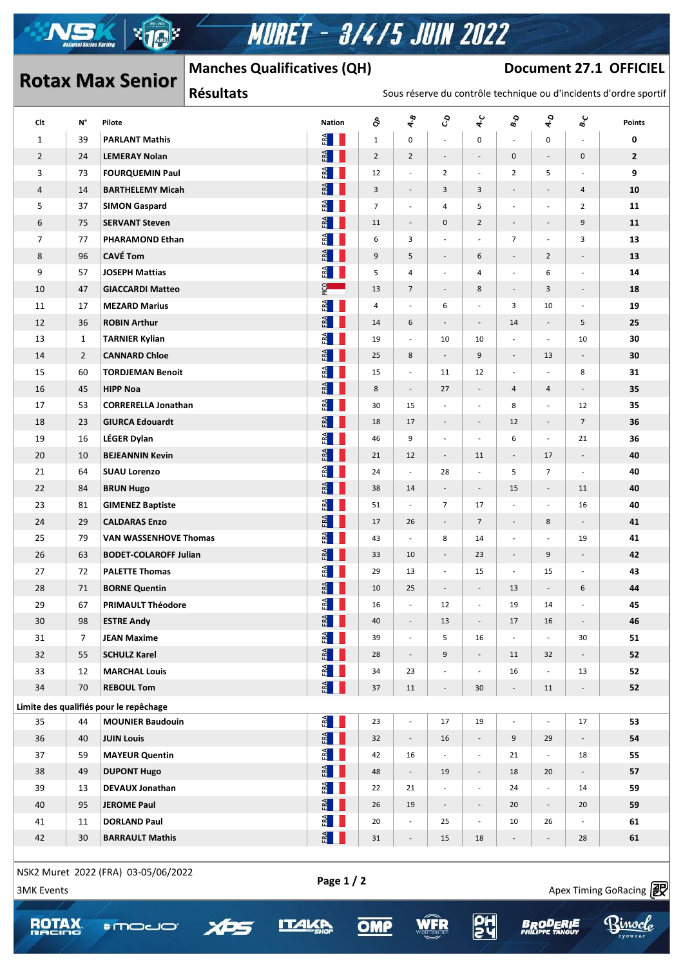

# **MURET - 3/4/5 JUIN 2022**

### **Document 27.1 OFFICIEL**

# **Rotax Max Senior**

 $\mathcal{A}$  , and  $\mathcal{A}$  approximately success https://www.apex-timing.com/

## **Manches Qualificatives (QH)**

#### Sous réserve du contrôle technique ou d'incidents d'ordre sportif

| Clt               | N°             | Pilote                                 | <b>Nation</b>                                                       | $\delta$       | $\frac{\phi}{\gamma}$        | ද                             | $\mathbf{\hat{z}}$       | $\mathbf{e}_{\mathbf{e}}^{\mathbf{O}}$ | $\boldsymbol{\hat{\zeta}}$ | ں<br>ھ                   | <b>Points</b>          |
|-------------------|----------------|----------------------------------------|---------------------------------------------------------------------|----------------|------------------------------|-------------------------------|--------------------------|----------------------------------------|----------------------------|--------------------------|------------------------|
| $\mathbf{1}$      | 39             | <b>PARLANT Mathis</b>                  | $E = \frac{1}{2}$                                                   | $\mathbf 1$    | $\mathbf 0$                  | $\overline{\phantom{a}}$      | $\mathbf 0$              |                                        | 0                          |                          | 0                      |
| $\overline{2}$    | 24             | <b>LEMERAY Nolan</b>                   | FRA                                                                 | $\overline{2}$ | $\overline{2}$               | $\overline{\phantom{a}}$      | $\overline{\phantom{a}}$ | 0                                      | $\overline{\phantom{a}}$   | $\boldsymbol{0}$         | $\overline{2}$         |
| 3                 | 73             | <b>FOURQUEMIN Paul</b>                 | $E = \frac{1}{2}$                                                   | 12             | $\overline{a}$               | $\overline{2}$                | $\overline{a}$           | $\overline{2}$                         | 5                          |                          | 9                      |
| $\overline{4}$    | 14             | <b>BARTHELEMY Micah</b>                | ERA                                                                 | 3              | $\frac{1}{2}$                | 3                             | $\mathbf{3}$             | $\overline{\phantom{a}}$               | $\overline{\phantom{a}}$   | 4                        | 10                     |
| 5                 | 37             | <b>SIMON Gaspard</b>                   | $F^{\mathbf{A}}$                                                    | $\overline{7}$ | $\overline{\phantom{a}}$     | $\overline{4}$                | 5                        | $\overline{\phantom{a}}$               | $\overline{\phantom{a}}$   | $\overline{2}$           | 11                     |
| 6                 | 75             | <b>SERVANT Steven</b>                  | ERA                                                                 | 11             | $\overline{\phantom{a}}$     | $\mathbf 0$                   | $\overline{2}$           | $\overline{\phantom{a}}$               | $\overline{\phantom{a}}$   | 9                        | 11                     |
| 7                 | 77             | <b>PHARAMOND Ethan</b>                 | FA                                                                  | 6              | $\overline{\mathbf{3}}$      | $\overline{\phantom{a}}$      | $\overline{a}$           | $\overline{7}$                         | $\frac{1}{2}$              | 3                        | 13                     |
| 8                 | 96             | <b>CAVÉ Tom</b>                        | ERA                                                                 | 9              | 5                            | $\overline{\phantom{a}}$      | 6                        | $\overline{\phantom{a}}$               | $\overline{2}$             | $\overline{\phantom{a}}$ | 13                     |
| 9                 | 57             | <b>JOSEPH Mattias</b>                  | R                                                                   | 5              | $\overline{4}$               | $\overline{\phantom{a}}$      | $\overline{4}$           | $\overline{\phantom{a}}$               | 6                          | $\overline{\phantom{a}}$ | 14                     |
| 10                | 47             | <b>GIACCARDI Matteo</b>                | <b>POM</b>                                                          | 13             | $\overline{7}$               | $\overline{\phantom{a}}$      | 8                        | $\overline{\phantom{a}}$               | 3                          | $\overline{\phantom{a}}$ | 18                     |
| 11                | 17             | <b>MEZARD Marius</b>                   | $F^{\mathbf{A}}$                                                    | 4              | $\overline{\phantom{a}}$     | 6                             | $\overline{\phantom{a}}$ | 3                                      | 10                         | $\overline{\phantom{a}}$ | 19                     |
| 12                | 36             | <b>ROBIN Arthur</b>                    | FA                                                                  | 14             | 6                            | $\overline{\phantom{a}}$      | $\overline{\phantom{a}}$ | 14                                     | $\blacksquare$             | 5                        | 25                     |
| 13                | $\mathbf{1}$   | <b>TARNIER Kylian</b>                  | E                                                                   | 19             | $\overline{\phantom{a}}$     | 10                            | 10                       | $\overline{\phantom{a}}$               | $\overline{\phantom{a}}$   | 10                       | 30                     |
| 14                | $\overline{2}$ | <b>CANNARD Chloe</b>                   | $F^{\mathbf{A}}$                                                    | 25             | 8                            | $\overline{\phantom{a}}$      | 9                        | $\overline{\phantom{a}}$               | 13                         |                          | 30                     |
| 15                | 60             | <b>TORDJEMAN Benoit</b>                | $E^{\mathbf{A}}$                                                    | 15             | $\frac{1}{2}$                | 11                            | 12                       | $\overline{\phantom{a}}$               | $\overline{a}$             | 8                        | 31                     |
| 16                | 45             | <b>HIPP Noa</b>                        | FA                                                                  | 8              | $\overline{\phantom{a}}$     | 27                            | $\overline{\phantom{a}}$ | 4                                      | 4                          | $\overline{\phantom{m}}$ | 35                     |
| 17                | 53             | <b>CORRERELLA Jonathan</b>             | $F_{RA}$                                                            | 30             | 15                           | $\overline{\phantom{a}}$      | $\overline{\phantom{a}}$ | 8                                      | $\overline{\phantom{a}}$   | 12                       | 35                     |
| 18                | 23             | <b>GIURCA Edouardt</b>                 | FRA                                                                 | 18             | 17                           | $\overline{\phantom{a}}$      | $\overline{\phantom{a}}$ | 12                                     | $\overline{\phantom{a}}$   | $7\overline{ }$          | 36                     |
| 19                | 16             | LÉGER Dylan                            | $E^{\mathbf{A}}$                                                    | 46             | 9                            | $\overline{\phantom{a}}$      | $\overline{\phantom{a}}$ | 6                                      | $\overline{\phantom{a}}$   | 21                       | 36                     |
| 20                | 10             | <b>BEJEANNIN Kevin</b>                 | FRA                                                                 | 21             | 12                           | $\overline{\phantom{a}}$      | 11                       | $\overline{\phantom{a}}$               | 17                         | $\overline{\phantom{a}}$ | 40                     |
| 21                | 64             | <b>SUAU Lorenzo</b>                    | $F^{\mathbf{A}}$                                                    | 24             | $\overline{\phantom{a}}$     | 28                            | $\frac{1}{2}$            | 5                                      | $\overline{7}$             | $\overline{\phantom{a}}$ | 40                     |
| 22                | 84             | <b>BRUN Hugo</b>                       | ERA                                                                 | 38             | 14                           | $\overline{\phantom{a}}$      | $\overline{\phantom{a}}$ | 15                                     | $\sim$                     | 11                       | 40                     |
| 23                | 81             | <b>GIMENEZ Baptiste</b>                | $E^A$                                                               | 51             | $\overline{\phantom{a}}$     | $\overline{7}$                | 17                       | $\overline{\phantom{a}}$               | $\overline{\phantom{a}}$   | 16                       | 40                     |
| 24                | 29             | <b>CALDARAS Enzo</b>                   | $F^{\mathbf{A}}$                                                    | 17             | 26                           |                               | $\overline{7}$           |                                        | 8                          | $\overline{\phantom{a}}$ | 41                     |
| 25                | 79             | <b>VAN WASSENHOVE Thomas</b>           | FA                                                                  | 43             | $\overline{\phantom{m}}$     | $\overline{\phantom{a}}$<br>8 |                          | $\overline{\phantom{a}}$               | $\overline{a}$             |                          | 41                     |
| 26                |                | <b>BODET-COLAROFF Julian</b>           | FA                                                                  |                | 10                           | $\overline{\phantom{a}}$      | 14                       | $\overline{\phantom{a}}$               | 9                          | 19                       | 42                     |
|                   | 63             |                                        |                                                                     | 33             |                              |                               | 23                       | $\overline{\phantom{a}}$               |                            | $\overline{\phantom{a}}$ |                        |
| 27                | 72             | <b>PALETTE Thomas</b>                  | $F_{\mathbf{R}}$                                                    | 29             | 13                           | $\overline{\phantom{a}}$      | 15                       | $\overline{\phantom{a}}$               | 15                         | $\overline{\phantom{a}}$ | 43                     |
| 28                | 71             | <b>BORNE Quentin</b>                   | $\begin{array}{c} \mathbb{E} \mathbb{I} \end{array}$<br>$rac{1}{2}$ | 10             | 25                           | $\overline{\phantom{a}}$      |                          | 13                                     |                            | 6                        | 44                     |
| 29                | 67             | <b>PRIMAULT Théodore</b>               |                                                                     | 16             | $\overline{\phantom{a}}$     | 12                            | $\overline{\phantom{a}}$ | 19                                     | 14                         |                          | 45                     |
| 30                | 98             | <b>ESTRE Andy</b>                      | FRA                                                                 | 40             | $\overline{\phantom{a}}$     | 13                            | $\overline{\phantom{a}}$ | 17                                     | 16                         | $\overline{\phantom{a}}$ | 46                     |
| 31                | $\overline{7}$ | <b>JEAN Maxime</b>                     | $E^{\mathbf{A}}$                                                    | 39             | $\overline{\phantom{a}}$     | 5                             | 16                       | $\overline{\phantom{a}}$               | $\frac{1}{2}$              | 30                       | 51                     |
| 32                | 55             | <b>SCHULZ Karel</b>                    | $F_{\text{RA}}$                                                     | 28             | $\overline{\phantom{a}}$     | 9                             | $\overline{\phantom{a}}$ | 11                                     | 32                         |                          | 52                     |
| 33                | 12             | <b>MARCHAL Louis</b>                   | FA                                                                  | 34             | 23                           | $\overline{\phantom{a}}$      | $\overline{\phantom{a}}$ | 16                                     | $\overline{\phantom{a}}$   | 13                       | 52                     |
| 34                | 70             | <b>REBOUL Tom</b>                      | ERA                                                                 | 37             | 11                           | $\overline{\phantom{a}}$      | 30                       | $\overline{\phantom{a}}$               | 11                         |                          | 52                     |
|                   |                | Limite des qualifiés pour le repêchage |                                                                     |                |                              |                               |                          |                                        |                            |                          |                        |
| 35                | 44             | <b>MOUNIER Baudouin</b>                | $\frac{d}{dt}$ $\blacksquare$                                       | 23             | $\frac{1}{2}$                | 17                            | 19                       | $\overline{\phantom{a}}$               | $\overline{\phantom{a}}$   | 17                       | 53                     |
| 36                | 40             | <b>JUIN Louis</b>                      | FRA                                                                 | 32             | $\overline{\phantom{a}}$     | 16                            | $\overline{\phantom{a}}$ | 9                                      | 29                         |                          | 54                     |
| 37                | 59             | <b>MAYEUR Quentin</b>                  | $F^{\mathbf{A}}$                                                    | 42             | 16                           | $\overline{\phantom{a}}$      | $\overline{\phantom{a}}$ | 21                                     | $\overline{\phantom{a}}$   | 18                       | 55                     |
| 38                | 49             | <b>DUPONT Hugo</b>                     | FRA                                                                 | 48             | $\overline{\phantom{a}}$     | 19                            | $\overline{\phantom{a}}$ | 18                                     | 20                         |                          | 57                     |
| 39                | 13             | <b>DEVAUX Jonathan</b>                 | E                                                                   | 22             | 21                           | $\Box$                        | $\overline{\phantom{a}}$ | 24                                     | $\frac{1}{2}$              | 14                       | 59                     |
| 40                | 95             | <b>JEROME Paul</b>                     | FA                                                                  | 26             | 19                           | $\overline{\phantom{a}}$      | $\overline{\phantom{a}}$ | 20                                     | $\sim$                     | 20                       | 59                     |
| 41                | 11             | <b>DORLAND Paul</b>                    | E                                                                   | $20\,$         | $\overline{\phantom{a}}$     | 25                            | $\overline{\phantom{a}}$ | 10                                     | 26                         |                          | 61                     |
| 42                | 30             | <b>BARRAULT Mathis</b>                 | FRA                                                                 | 31             | $\qquad \qquad \blacksquare$ | 15                            | 18                       |                                        |                            | 28                       | 61                     |
|                   |                | NSK2 Muret 2022 (FRA) 03-05/06/2022    | Page 1 / 2                                                          |                |                              |                               |                          |                                        |                            |                          |                        |
| <b>3MK Events</b> |                |                                        |                                                                     |                |                              |                               |                          |                                        |                            |                          | Apex Timing GoRacing 2 |